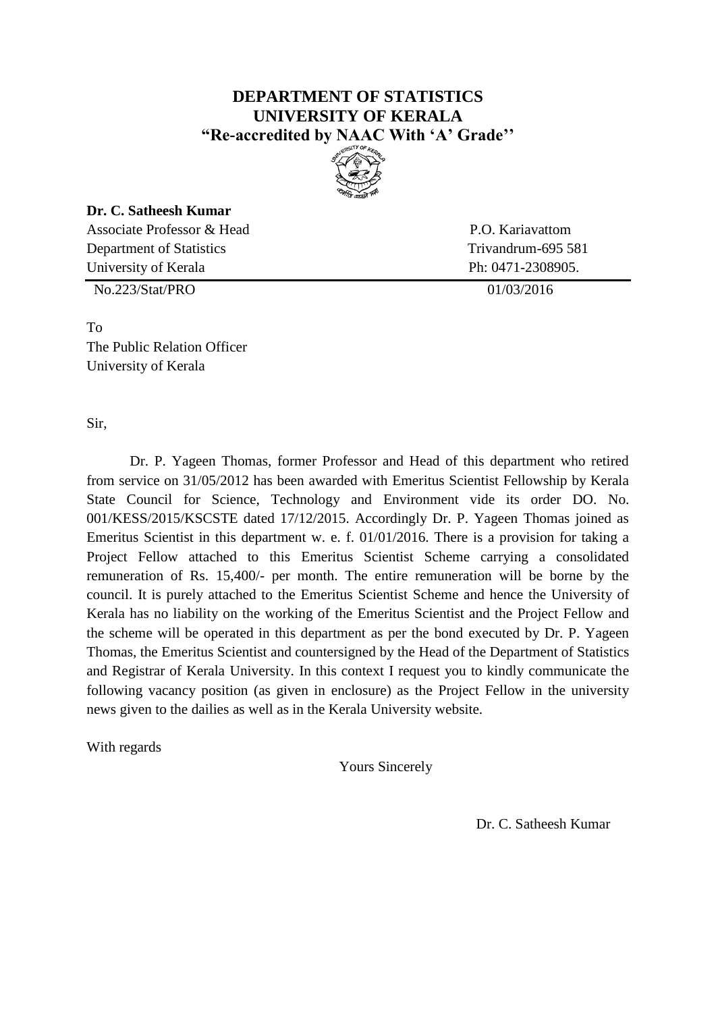## **DEPARTMENT OF STATISTICS UNIVERSITY OF KERALA "Re-accredited by NAAC With 'A' Grade''**



## **Dr. C. Satheesh Kumar**

Associate Professor & Head P.O. Kariavattom Department of Statistics Trivandrum-695 581 University of Kerala Ph: 0471-2308905.

No.223/Stat/PRO 01/03/2016

To The Public Relation Officer University of Kerala

Sir,

Dr. P. Yageen Thomas, former Professor and Head of this department who retired from service on 31/05/2012 has been awarded with Emeritus Scientist Fellowship by Kerala State Council for Science, Technology and Environment vide its order DO. No. 001/KESS/2015/KSCSTE dated 17/12/2015. Accordingly Dr. P. Yageen Thomas joined as Emeritus Scientist in this department w. e. f. 01/01/2016. There is a provision for taking a Project Fellow attached to this Emeritus Scientist Scheme carrying a consolidated remuneration of Rs. 15,400/- per month. The entire remuneration will be borne by the council. It is purely attached to the Emeritus Scientist Scheme and hence the University of Kerala has no liability on the working of the Emeritus Scientist and the Project Fellow and the scheme will be operated in this department as per the bond executed by Dr. P. Yageen Thomas, the Emeritus Scientist and countersigned by the Head of the Department of Statistics and Registrar of Kerala University. In this context I request you to kindly communicate the following vacancy position (as given in enclosure) as the Project Fellow in the university news given to the dailies as well as in the Kerala University website.

With regards

Yours Sincerely

Dr. C. Satheesh Kumar